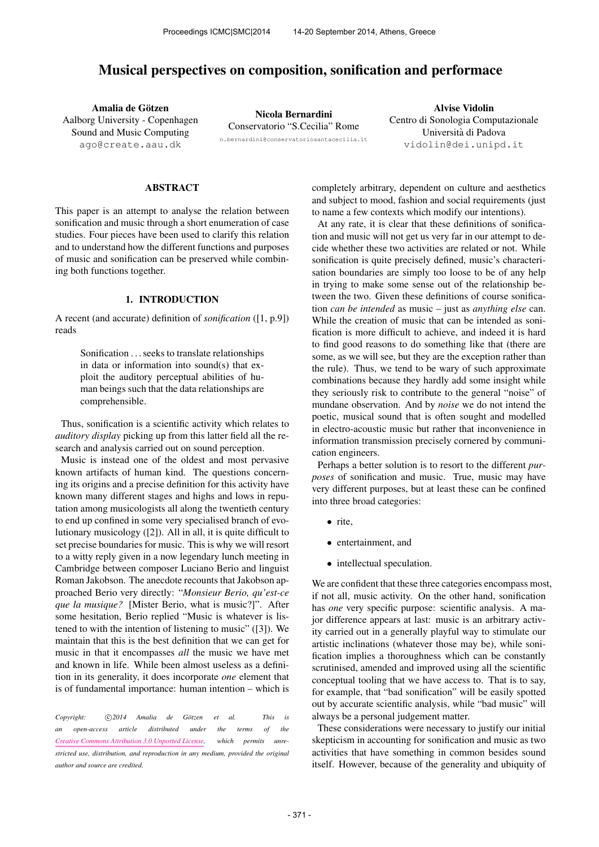# Musical perspectives on composition, sonification and performace

Amalia de Götzen Aalborg University - Copenhagen Sound and Music Computing [ago@create.aau.dk](mailto:ago@create.aau.dk)

Nicola Bernardini Conservatorio "S.Cecilia" Rome [n.bernardini@conservatoriosantacecilia.it](mailto:n.bernardini@conservatoriosantacecilia.it)

Alvise Vidolin Centro di Sonologia Computazionale Universita di Padova ` [vidolin@dei.unipd.it](mailto:vidolin@dei.unipd.it)

## ABSTRACT

This paper is an attempt to analyse the relation between sonification and music through a short enumeration of case studies. Four pieces have been used to clarify this relation and to understand how the different functions and purposes of music and sonification can be preserved while combining both functions together.

# 1. INTRODUCTION

A recent (and accurate) definition of *sonification* ([1, p.9]) reads

> Sonification . . . seeks to translate relationships in data or information into sound(s) that exploit the auditory perceptual abilities of human beings such that the data relationships are comprehensible.

Thus, sonification is a scientific activity which relates to *auditory display* picking up from this latter field all the research and analysis carried out on sound perception.

Music is instead one of the oldest and most pervasive known artifacts of human kind. The questions concerning its origins and a precise definition for this activity have known many different stages and highs and lows in reputation among musicologists all along the twentieth century to end up confined in some very specialised branch of evolutionary musicology ([2]). All in all, it is quite difficult to set precise boundaries for music. This is why we will resort to a witty reply given in a now legendary lunch meeting in Cambridge between composer Luciano Berio and linguist Roman Jakobson. The anecdote recounts that Jakobson approached Berio very directly: "*Monsieur Berio, qu'est-ce que la musique?* [Mister Berio, what is music?]". After some hesitation, Berio replied "Music is whatever is listened to with the intention of listening to music" ([3]). We maintain that this is the best definition that we can get for music in that it encompasses *all* the music we have met and known in life. While been almost useless as a definition in its generality, it does incorporate *one* element that is of fundamental importance: human intention – which is

*Copyright:*  $\bigcirc$  *c*)2014 Amalia de Götzen et al. This is *an open-access article distributed under the terms of the [Creative Commons Attribution 3.0 Unported License,](http://creativecommons.org/licenses/by/3.0/) which permits unrestricted use, distribution, and reproduction in any medium, provided the original author and source are credited.*

completely arbitrary, dependent on culture and aesthetics and subject to mood, fashion and social requirements (just to name a few contexts which modify our intentions).

At any rate, it is clear that these definitions of sonification and music will not get us very far in our attempt to decide whether these two activities are related or not. While sonification is quite precisely defined, music's characterisation boundaries are simply too loose to be of any help in trying to make some sense out of the relationship between the two. Given these definitions of course sonification *can be intended* as music – just as *anything else* can. While the creation of music that can be intended as sonification is more difficult to achieve, and indeed it is hard to find good reasons to do something like that (there are some, as we will see, but they are the exception rather than the rule). Thus, we tend to be wary of such approximate combinations because they hardly add some insight while they seriously risk to contribute to the general "noise" of mundane observation. And by *noise* we do not intend the poetic, musical sound that is often sought and modelled in electro-acoustic music but rather that inconvenience in information transmission precisely cornered by communication engineers.

Perhaps a better solution is to resort to the different *purposes* of sonification and music. True, music may have very different purposes, but at least these can be confined into three broad categories:

- rite,
- entertainment, and
- intellectual speculation.

We are confident that these three categories encompass most, if not all, music activity. On the other hand, sonification has *one* very specific purpose: scientific analysis. A major difference appears at last: music is an arbitrary activity carried out in a generally playful way to stimulate our artistic inclinations (whatever those may be), while sonification implies a thoroughness which can be constantly scrutinised, amended and improved using all the scientific conceptual tooling that we have access to. That is to say, for example, that "bad sonification" will be easily spotted out by accurate scientific analysis, while "bad music" will always be a personal judgement matter.

These considerations were necessary to justify our initial skepticism in accounting for sonification and music as two activities that have something in common besides sound itself. However, because of the generality and ubiquity of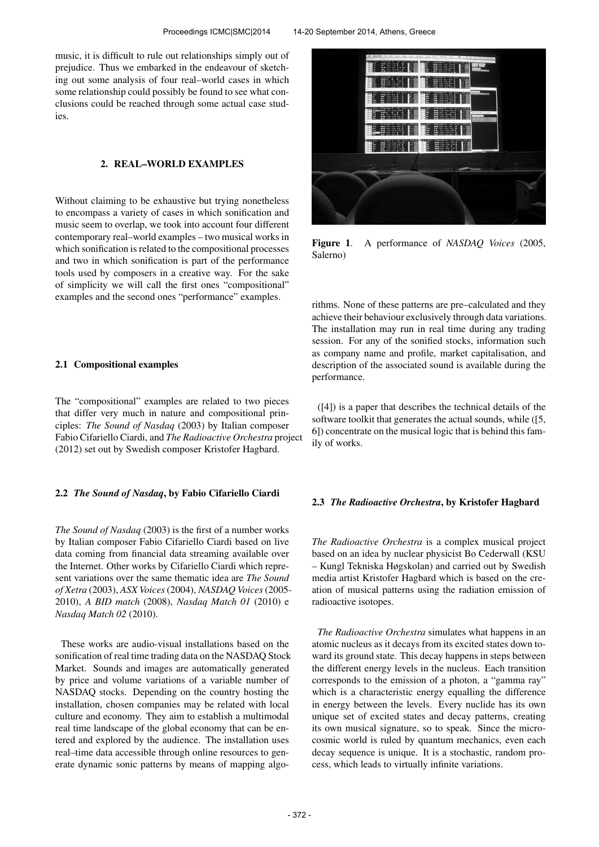music, it is difficult to rule out relationships simply out of prejudice. Thus we embarked in the endeavour of sketching out some analysis of four real–world cases in which some relationship could possibly be found to see what conclusions could be reached through some actual case studies.

# 2. REAL–WORLD EXAMPLES

Without claiming to be exhaustive but trying nonetheless to encompass a variety of cases in which sonification and music seem to overlap, we took into account four different contemporary real–world examples – two musical works in which sonification is related to the compositional processes and two in which sonification is part of the performance tools used by composers in a creative way. For the sake of simplicity we will call the first ones "compositional" examples and the second ones "performance" examples.

# 2.1 Compositional examples

The "compositional" examples are related to two pieces that differ very much in nature and compositional principles: *The Sound of Nasdaq* (2003) by Italian composer Fabio Cifariello Ciardi, and *The Radioactive Orchestra* project (2012) set out by Swedish composer Kristofer Hagbard.

# 2.2 *The Sound of Nasdaq*, by Fabio Cifariello Ciardi

*The Sound of Nasdaq* (2003) is the first of a number works by Italian composer Fabio Cifariello Ciardi based on live data coming from financial data streaming available over the Internet. Other works by Cifariello Ciardi which represent variations over the same thematic idea are *The Sound of Xetra* (2003), *ASX Voices*(2004), *NASDAQ Voices*(2005- 2010), *A BID match* (2008), *Nasdaq Match 01* (2010) e *Nasdaq Match 02* (2010).

These works are audio-visual installations based on the sonification of real time trading data on the NASDAQ Stock Market. Sounds and images are automatically generated by price and volume variations of a variable number of NASDAQ stocks. Depending on the country hosting the installation, chosen companies may be related with local culture and economy. They aim to establish a multimodal real time landscape of the global economy that can be entered and explored by the audience. The installation uses real–time data accessible through online resources to generate dynamic sonic patterns by means of mapping algo-



Figure 1. A performance of *NASDAQ Voices* (2005, Salerno)

rithms. None of these patterns are pre–calculated and they achieve their behaviour exclusively through data variations. The installation may run in real time during any trading session. For any of the sonified stocks, information such as company name and profile, market capitalisation, and description of the associated sound is available during the performance.

([4]) is a paper that describes the technical details of the software toolkit that generates the actual sounds, while ([5, 6]) concentrate on the musical logic that is behind this family of works.

#### 2.3 *The Radioactive Orchestra*, by Kristofer Hagbard

*The Radioactive Orchestra* is a complex musical project based on an idea by nuclear physicist Bo Cederwall (KSU – Kungl Tekniska Høgskolan) and carried out by Swedish media artist Kristofer Hagbard which is based on the creation of musical patterns using the radiation emission of radioactive isotopes.

*The Radioactive Orchestra* simulates what happens in an atomic nucleus as it decays from its excited states down toward its ground state. This decay happens in steps between the different energy levels in the nucleus. Each transition corresponds to the emission of a photon, a "gamma ray" which is a characteristic energy equalling the difference in energy between the levels. Every nuclide has its own unique set of excited states and decay patterns, creating its own musical signature, so to speak. Since the microcosmic world is ruled by quantum mechanics, even each decay sequence is unique. It is a stochastic, random process, which leads to virtually infinite variations.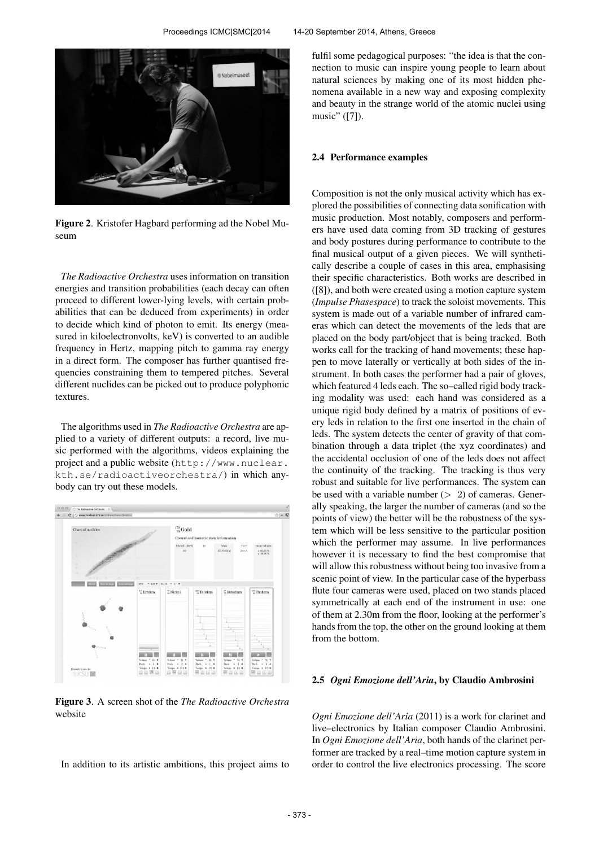

Figure 2. Kristofer Hagbard performing ad the Nobel Museum

*The Radioactive Orchestra* uses information on transition energies and transition probabilities (each decay can often proceed to different lower-lying levels, with certain probabilities that can be deduced from experiments) in order to decide which kind of photon to emit. Its energy (measured in kiloelectronvolts, keV) is converted to an audible frequency in Hertz, mapping pitch to gamma ray energy in a direct form. The composer has further quantised frequencies constraining them to tempered pitches. Several different nuclides can be picked out to produce polyphonic textures.

The algorithms used in *The Radioactive Orchestra* are applied to a variety of different outputs: a record, live music performed with the algorithms, videos explaining the project and a public website ([http://www.nuclear.](http://www.nuclear.kth.se/radioactiveorchestra/) [kth.se/radioactiveorchestra/](http://www.nuclear.kth.se/radioactiveorchestra/)) in which anybody can try out these models.



Figure 3. A screen shot of the *The Radioactive Orchestra* website

In addition to its artistic ambitions, this project aims to

fulfil some pedagogical purposes: "the idea is that the connection to music can inspire young people to learn about natural sciences by making one of its most hidden phenomena available in a new way and exposing complexity and beauty in the strange world of the atomic nuclei using music" ([7]).

#### 2.4 Performance examples

Composition is not the only musical activity which has explored the possibilities of connecting data sonification with music production. Most notably, composers and performers have used data coming from 3D tracking of gestures and body postures during performance to contribute to the final musical output of a given pieces. We will synthetically describe a couple of cases in this area, emphasising their specific characteristics. Both works are described in ([8]), and both were created using a motion capture system (*Impulse Phasespace*) to track the soloist movements. This system is made out of a variable number of infrared cameras which can detect the movements of the leds that are placed on the body part/object that is being tracked. Both works call for the tracking of hand movements; these happen to move laterally or vertically at both sides of the instrument. In both cases the performer had a pair of gloves, which featured 4 leds each. The so–called rigid body tracking modality was used: each hand was considered as a unique rigid body defined by a matrix of positions of every leds in relation to the first one inserted in the chain of leds. The system detects the center of gravity of that combination through a data triplet (the xyz coordinates) and the accidental occlusion of one of the leds does not affect the continuity of the tracking. The tracking is thus very robust and suitable for live performances. The system can be used with a variable number  $(> 2)$  of cameras. Generally speaking, the larger the number of cameras (and so the points of view) the better will be the robustness of the system which will be less sensitive to the particular position which the performer may assume. In live performances however it is necessary to find the best compromise that will allow this robustness without being too invasive from a scenic point of view. In the particular case of the hyperbass flute four cameras were used, placed on two stands placed symmetrically at each end of the instrument in use: one of them at 2.30m from the floor, looking at the performer's hands from the top, the other on the ground looking at them from the bottom.

#### 2.5 *Ogni Emozione dell'Aria*, by Claudio Ambrosini

*Ogni Emozione dell'Aria* (2011) is a work for clarinet and live–electronics by Italian composer Claudio Ambrosini. In *Ogni Emozione dell'Aria*, both hands of the clarinet performer are tracked by a real–time motion capture system in order to control the live electronics processing. The score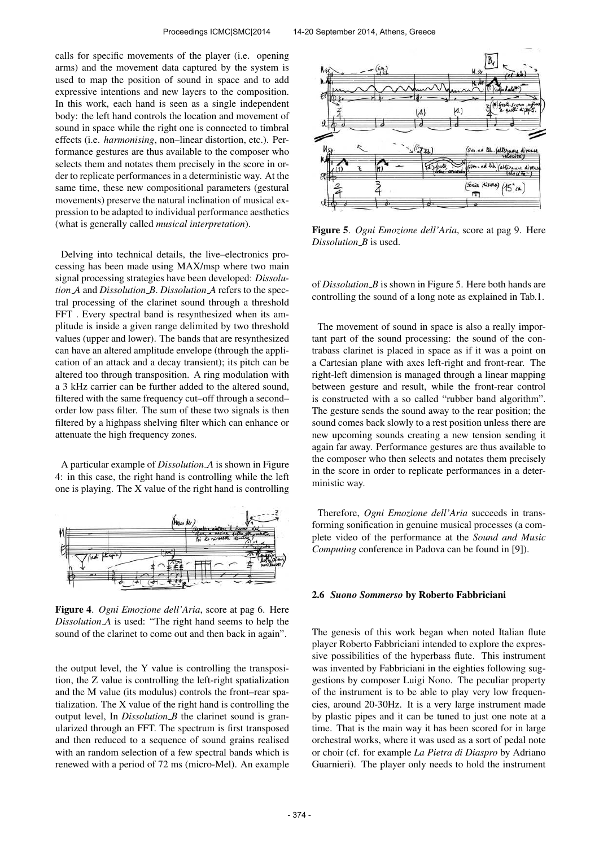calls for specific movements of the player (i.e. opening arms) and the movement data captured by the system is used to map the position of sound in space and to add expressive intentions and new layers to the composition. In this work, each hand is seen as a single independent body: the left hand controls the location and movement of sound in space while the right one is connected to timbral effects (i.e. *harmonising*, non–linear distortion, etc.). Performance gestures are thus available to the composer who selects them and notates them precisely in the score in order to replicate performances in a deterministic way. At the same time, these new compositional parameters (gestural movements) preserve the natural inclination of musical expression to be adapted to individual performance aesthetics (what is generally called *musical interpretation*).

Delving into technical details, the live–electronics processing has been made using MAX/msp where two main signal processing strategies have been developed: *Dissolution A* and *Dissolution B*. *Dissolution A* refers to the spectral processing of the clarinet sound through a threshold FFT . Every spectral band is resynthesized when its amplitude is inside a given range delimited by two threshold values (upper and lower). The bands that are resynthesized can have an altered amplitude envelope (through the application of an attack and a decay transient); its pitch can be altered too through transposition. A ring modulation with a 3 kHz carrier can be further added to the altered sound, filtered with the same frequency cut–off through a second– order low pass filter. The sum of these two signals is then filtered by a highpass shelving filter which can enhance or attenuate the high frequency zones.

A particular example of *Dissolution A* is shown in Figure 4: in this case, the right hand is controlling while the left one is playing. The X value of the right hand is controlling



Figure 4. *Ogni Emozione dell'Aria*, score at pag 6. Here *Dissolution A* is used: "The right hand seems to help the sound of the clarinet to come out and then back in again".

the output level, the Y value is controlling the transposition, the Z value is controlling the left-right spatialization and the M value (its modulus) controls the front–rear spatialization. The X value of the right hand is controlling the output level, In *Dissolution B* the clarinet sound is granularized through an FFT. The spectrum is first transposed and then reduced to a sequence of sound grains realised with an random selection of a few spectral bands which is renewed with a period of 72 ms (micro-Mel). An example



Figure 5. *Ogni Emozione dell'Aria*, score at pag 9. Here *Dissolution B* is used.

of *Dissolution B* is shown in Figure 5. Here both hands are controlling the sound of a long note as explained in Tab.1.

The movement of sound in space is also a really important part of the sound processing: the sound of the contrabass clarinet is placed in space as if it was a point on a Cartesian plane with axes left-right and front-rear. The right-left dimension is managed through a linear mapping between gesture and result, while the front-rear control is constructed with a so called "rubber band algorithm". The gesture sends the sound away to the rear position; the sound comes back slowly to a rest position unless there are new upcoming sounds creating a new tension sending it again far away. Performance gestures are thus available to the composer who then selects and notates them precisely in the score in order to replicate performances in a deterministic way.

Therefore, *Ogni Emozione dell'Aria* succeeds in transforming sonification in genuine musical processes (a complete video of the performance at the *Sound and Music Computing* conference in Padova can be found in [9]).

#### 2.6 *Suono Sommerso* by Roberto Fabbriciani

The genesis of this work began when noted Italian flute player Roberto Fabbriciani intended to explore the expressive possibilities of the hyperbass flute. This instrument was invented by Fabbriciani in the eighties following suggestions by composer Luigi Nono. The peculiar property of the instrument is to be able to play very low frequencies, around 20-30Hz. It is a very large instrument made by plastic pipes and it can be tuned to just one note at a time. That is the main way it has been scored for in large orchestral works, where it was used as a sort of pedal note or choir (cf. for example *La Pietra di Diaspro* by Adriano Guarnieri). The player only needs to hold the instrument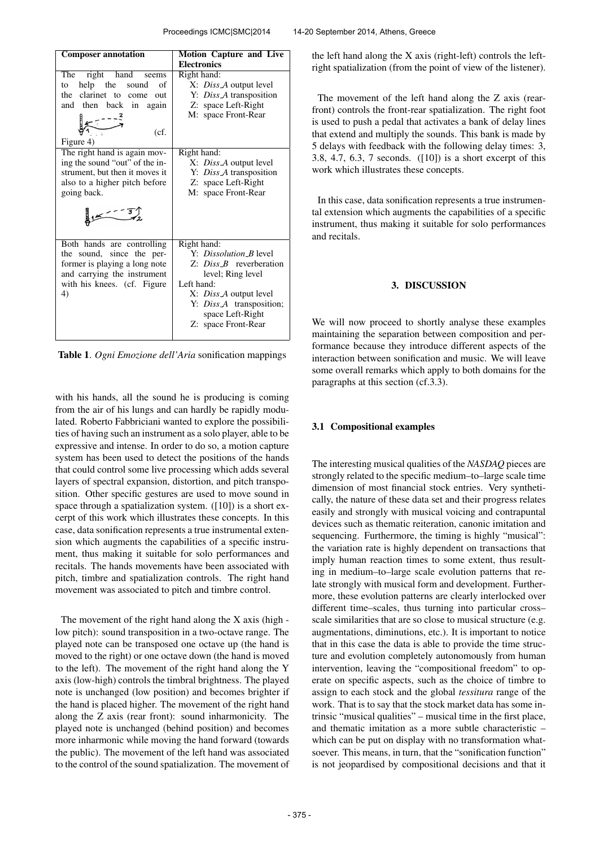| <b>Composer annotation</b>                                                                                                                                                                                                                                                                                          | <b>Motion Capture and Live</b><br><b>Electronics</b>                                                                                                                                                                                    |
|---------------------------------------------------------------------------------------------------------------------------------------------------------------------------------------------------------------------------------------------------------------------------------------------------------------------|-----------------------------------------------------------------------------------------------------------------------------------------------------------------------------------------------------------------------------------------|
| right hand seems<br>The<br>help the<br>to<br>sound<br>of<br>the clarinet to come<br>out<br>and then back in again<br>تستج<br>(cf.<br>Figure 4)<br>The right hand is again mov-<br>ing the sound "out" of the in-<br>strument, but then it moves it<br>also to a higher pitch before<br>going back.<br>$\frac{1}{2}$ | Right hand:<br>X: Diss A output level<br>Y: Diss A transposition<br>Z: space Left-Right<br>M: space Front-Rear<br>Right hand:<br>X: <i>Diss A</i> output level<br>Y: Diss A transposition<br>Z: space Left-Right<br>M: space Front-Rear |
| Both hands are controlling<br>the sound, since the per-<br>former is playing a long note<br>and carrying the instrument<br>with his knees. (cf. Figure<br>4)                                                                                                                                                        | Right hand:<br>Y: Dissolution B level<br>$Z: Diss$ P reverberation<br>level; Ring level<br>Left hand:<br>X: <i>Diss A</i> output level<br>Y: Diss A transposition;<br>space Left-Right<br>Z: space Front-Rear                           |

Table 1. *Ogni Emozione dell'Aria* sonification mappings

with his hands, all the sound he is producing is coming from the air of his lungs and can hardly be rapidly modulated. Roberto Fabbriciani wanted to explore the possibilities of having such an instrument as a solo player, able to be expressive and intense. In order to do so, a motion capture system has been used to detect the positions of the hands that could control some live processing which adds several layers of spectral expansion, distortion, and pitch transposition. Other specific gestures are used to move sound in space through a spatialization system. ([10]) is a short excerpt of this work which illustrates these concepts. In this case, data sonification represents a true instrumental extension which augments the capabilities of a specific instrument, thus making it suitable for solo performances and recitals. The hands movements have been associated with pitch, timbre and spatialization controls. The right hand movement was associated to pitch and timbre control.

The movement of the right hand along the X axis (high low pitch): sound transposition in a two-octave range. The played note can be transposed one octave up (the hand is moved to the right) or one octave down (the hand is moved to the left). The movement of the right hand along the Y axis (low-high) controls the timbral brightness. The played note is unchanged (low position) and becomes brighter if the hand is placed higher. The movement of the right hand along the Z axis (rear front): sound inharmonicity. The played note is unchanged (behind position) and becomes more inharmonic while moving the hand forward (towards the public). The movement of the left hand was associated to the control of the sound spatialization. The movement of the left hand along the X axis (right-left) controls the leftright spatialization (from the point of view of the listener).

The movement of the left hand along the Z axis (rearfront) controls the front-rear spatialization. The right foot is used to push a pedal that activates a bank of delay lines that extend and multiply the sounds. This bank is made by 5 delays with feedback with the following delay times: 3, 3.8, 4.7, 6.3, 7 seconds. ([10]) is a short excerpt of this work which illustrates these concepts.

In this case, data sonification represents a true instrumental extension which augments the capabilities of a specific instrument, thus making it suitable for solo performances and recitals.

# 3. DISCUSSION

We will now proceed to shortly analyse these examples maintaining the separation between composition and performance because they introduce different aspects of the interaction between sonification and music. We will leave some overall remarks which apply to both domains for the paragraphs at this section (cf.3.3).

# 3.1 Compositional examples

The interesting musical qualities of the *NASDAQ* pieces are strongly related to the specific medium–to–large scale time dimension of most financial stock entries. Very synthetically, the nature of these data set and their progress relates easily and strongly with musical voicing and contrapuntal devices such as thematic reiteration, canonic imitation and sequencing. Furthermore, the timing is highly "musical": the variation rate is highly dependent on transactions that imply human reaction times to some extent, thus resulting in medium–to–large scale evolution patterns that relate strongly with musical form and development. Furthermore, these evolution patterns are clearly interlocked over different time–scales, thus turning into particular cross– scale similarities that are so close to musical structure (e.g. augmentations, diminutions, etc.). It is important to notice that in this case the data is able to provide the time structure and evolution completely autonomously from human intervention, leaving the "compositional freedom" to operate on specific aspects, such as the choice of timbre to assign to each stock and the global *tessitura* range of the work. That is to say that the stock market data has some intrinsic "musical qualities" – musical time in the first place, and thematic imitation as a more subtle characteristic – which can be put on display with no transformation whatsoever. This means, in turn, that the "sonification function" is not jeopardised by compositional decisions and that it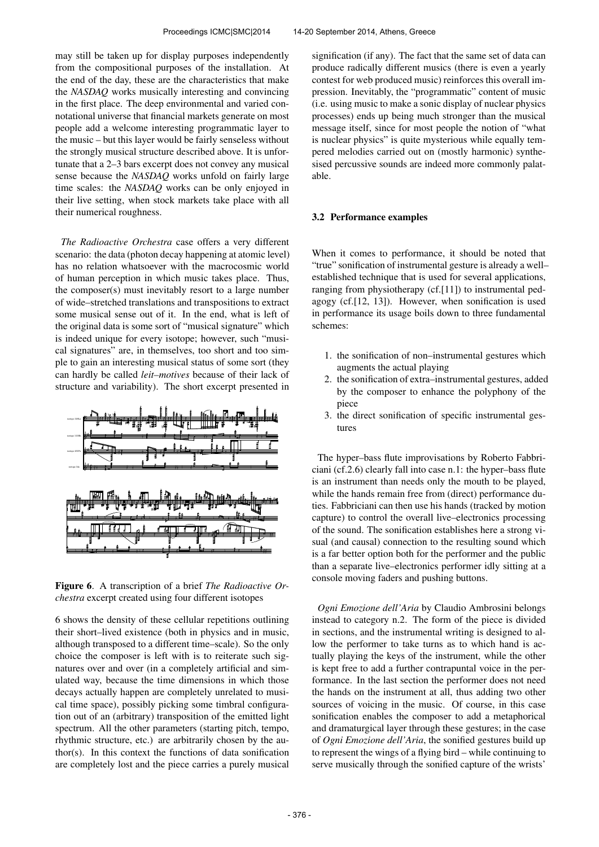may still be taken up for display purposes independently from the compositional purposes of the installation. At the end of the day, these are the characteristics that make the *NASDAQ* works musically interesting and convincing in the first place. The deep environmental and varied connotational universe that financial markets generate on most people add a welcome interesting programmatic layer to the music – but this layer would be fairly senseless without the strongly musical structure described above. It is unfortunate that a 2–3 bars excerpt does not convey any musical sense because the *NASDAQ* works unfold on fairly large time scales: the *NASDAQ* works can be only enjoyed in their live setting, when stock markets take place with all their numerical roughness.

*The Radioactive Orchestra* case offers a very different scenario: the data (photon decay happening at atomic level) has no relation whatsoever with the macrocosmic world of human perception in which music takes place. Thus, the composer(s) must inevitably resort to a large number of wide–stretched translations and transpositions to extract some musical sense out of it. In the end, what is left of the original data is some sort of "musical signature" which is indeed unique for every isotope; however, such "musical signatures" are, in themselves, too short and too simple to gain an interesting musical status of some sort (they can hardly be called *leit–motives* because of their lack of structure and variability). The short excerpt presented in



Figure 6. A transcription of a brief *The Radioactive Orchestra* excerpt created using four different isotopes

6 shows the density of these cellular repetitions outlining their short–lived existence (both in physics and in music, although transposed to a different time–scale). So the only choice the composer is left with is to reiterate such signatures over and over (in a completely artificial and simulated way, because the time dimensions in which those decays actually happen are completely unrelated to musical time space), possibly picking some timbral configuration out of an (arbitrary) transposition of the emitted light spectrum. All the other parameters (starting pitch, tempo, rhythmic structure, etc.) are arbitrarily chosen by the author(s). In this context the functions of data sonification are completely lost and the piece carries a purely musical signification (if any). The fact that the same set of data can produce radically different musics (there is even a yearly contest for web produced music) reinforces this overall impression. Inevitably, the "programmatic" content of music (i.e. using music to make a sonic display of nuclear physics processes) ends up being much stronger than the musical message itself, since for most people the notion of "what is nuclear physics" is quite mysterious while equally tempered melodies carried out on (mostly harmonic) synthesised percussive sounds are indeed more commonly palatable.

# 3.2 Performance examples

When it comes to performance, it should be noted that "true" sonification of instrumental gesture is already a well– established technique that is used for several applications, ranging from physiotherapy (cf.[11]) to instrumental pedagogy (cf.[12, 13]). However, when sonification is used in performance its usage boils down to three fundamental schemes:

- 1. the sonification of non–instrumental gestures which augments the actual playing
- 2. the sonification of extra–instrumental gestures, added by the composer to enhance the polyphony of the piece
- 3. the direct sonification of specific instrumental gestures

The hyper–bass flute improvisations by Roberto Fabbriciani (cf.2.6) clearly fall into case n.1: the hyper–bass flute is an instrument than needs only the mouth to be played, while the hands remain free from (direct) performance duties. Fabbriciani can then use his hands (tracked by motion capture) to control the overall live–electronics processing of the sound. The sonification establishes here a strong visual (and causal) connection to the resulting sound which is a far better option both for the performer and the public than a separate live–electronics performer idly sitting at a console moving faders and pushing buttons.

*Ogni Emozione dell'Aria* by Claudio Ambrosini belongs instead to category n.2. The form of the piece is divided in sections, and the instrumental writing is designed to allow the performer to take turns as to which hand is actually playing the keys of the instrument, while the other is kept free to add a further contrapuntal voice in the performance. In the last section the performer does not need the hands on the instrument at all, thus adding two other sources of voicing in the music. Of course, in this case sonification enables the composer to add a metaphorical and dramaturgical layer through these gestures; in the case of *Ogni Emozione dell'Aria*, the sonified gestures build up to represent the wings of a flying bird – while continuing to serve musically through the sonified capture of the wrists'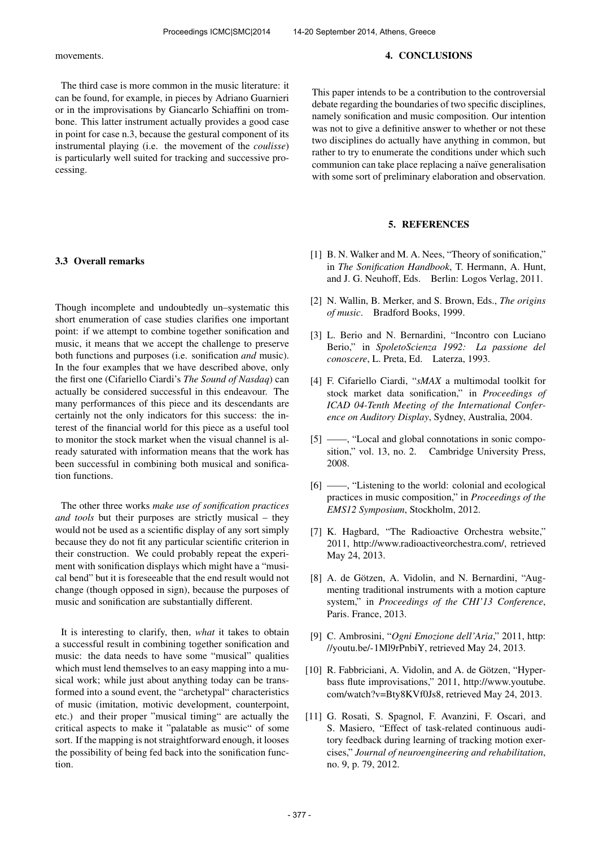movements.

The third case is more common in the music literature: it can be found, for example, in pieces by Adriano Guarnieri or in the improvisations by Giancarlo Schiaffini on trombone. This latter instrument actually provides a good case in point for case n.3, because the gestural component of its instrumental playing (i.e. the movement of the *coulisse*) is particularly well suited for tracking and successive processing.

# 3.3 Overall remarks

Though incomplete and undoubtedly un–systematic this short enumeration of case studies clarifies one important point: if we attempt to combine together sonification and music, it means that we accept the challenge to preserve both functions and purposes (i.e. sonification *and* music). In the four examples that we have described above, only the first one (Cifariello Ciardi's *The Sound of Nasdaq*) can actually be considered successful in this endeavour. The many performances of this piece and its descendants are certainly not the only indicators for this success: the interest of the financial world for this piece as a useful tool to monitor the stock market when the visual channel is already saturated with information means that the work has been successful in combining both musical and sonification functions.

The other three works *make use of sonification practices and tools* but their purposes are strictly musical – they would not be used as a scientific display of any sort simply because they do not fit any particular scientific criterion in their construction. We could probably repeat the experiment with sonification displays which might have a "musical bend" but it is foreseeable that the end result would not change (though opposed in sign), because the purposes of music and sonification are substantially different.

It is interesting to clarify, then, *what* it takes to obtain a successful result in combining together sonification and music: the data needs to have some "musical" qualities which must lend themselves to an easy mapping into a musical work; while just about anything today can be transformed into a sound event, the "archetypal" characteristics of music (imitation, motivic development, counterpoint, etc.) and their proper "musical timing" are actually the critical aspects to make it "palatable as music" of some sort. If the mapping is not straightforward enough, it looses the possibility of being fed back into the sonification function.

This paper intends to be a contribution to the controversial debate regarding the boundaries of two specific disciplines, namely sonification and music composition. Our intention was not to give a definitive answer to whether or not these two disciplines do actually have anything in common, but rather to try to enumerate the conditions under which such communion can take place replacing a naïve generalisation with some sort of preliminary elaboration and observation.

# 5. REFERENCES

- [1] B. N. Walker and M. A. Nees, "Theory of sonification," in *The Sonification Handbook*, T. Hermann, A. Hunt, and J. G. Neuhoff, Eds. Berlin: Logos Verlag, 2011.
- [2] N. Wallin, B. Merker, and S. Brown, Eds., *The origins of music*. Bradford Books, 1999.
- [3] L. Berio and N. Bernardini, "Incontro con Luciano Berio," in *SpoletoScienza 1992: La passione del conoscere*, L. Preta, Ed. Laterza, 1993.
- [4] F. Cifariello Ciardi, "*sMAX* a multimodal toolkit for stock market data sonification," in *Proceedings of ICAD 04-Tenth Meeting of the International Conference on Auditory Display*, Sydney, Australia, 2004.
- [5] ——, "Local and global connotations in sonic composition," vol. 13, no. 2. Cambridge University Press, 2008.
- [6] ——, "Listening to the world: colonial and ecological practices in music composition," in *Proceedings of the EMS12 Symposium*, Stockholm, 2012.
- [7] K. Hagbard, "The Radioactive Orchestra website," 2011, [http://www.radioactiveorchestra.com/,](http://www.radioactiveorchestra.com/) retrieved May 24, 2013.
- [8] A. de Götzen, A. Vidolin, and N. Bernardini, "Augmenting traditional instruments with a motion capture system," in *Proceedings of the CHI'13 Conference*, Paris. France, 2013.
- [9] C. Ambrosini, "*Ogni Emozione dell'Aria*," 2011, [http:](http://youtu.be/-1Ml9rPnbiY) [//youtu.be/-1Ml9rPnbiY,](http://youtu.be/-1Ml9rPnbiY) retrieved May 24, 2013.
- [10] R. Fabbriciani, A. Vidolin, and A. de Götzen, "Hyperbass flute improvisations," 2011, [http://www.youtube.](http://www.youtube.com/watch?v=Bty8KVf0Js8) [com/watch?v=Bty8KVf0Js8,](http://www.youtube.com/watch?v=Bty8KVf0Js8) retrieved May 24, 2013.
- [11] G. Rosati, S. Spagnol, F. Avanzini, F. Oscari, and S. Masiero, "Effect of task-related continuous auditory feedback during learning of tracking motion exercises," *Journal of neuroengineering and rehabilitation*, no. 9, p. 79, 2012.